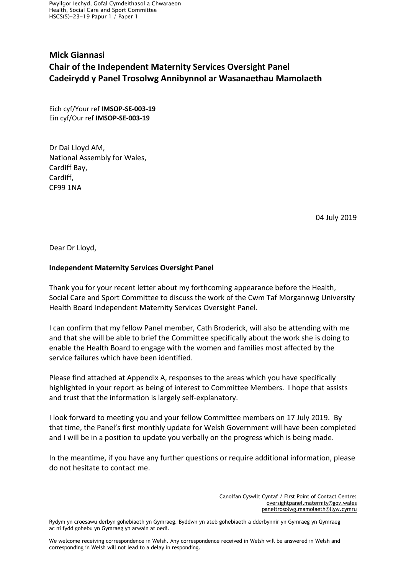Pwyllgor Iechyd, Gofal Cymdeithasol a Chwaraeon Health, Social Care and Sport Committee HSCS(5)-23-19 Papur 1 / Paper 1

## **Mick Giannasi Chair of the Independent Maternity Services Oversight Panel Cadeirydd y Panel Trosolwg Annibynnol ar Wasanaethau Mamolaeth**

Eich cyf/Your ref **IMSOP-SE-003-19**  Ein cyf/Our ref **IMSOP-SE-003-19**

Dr Dai Lloyd AM, National Assembly for Wales, Cardiff Bay, Cardiff, CF99 1NA

04 July 2019

Dear Dr Lloyd,

## **Independent Maternity Services Oversight Panel**

Thank you for your recent letter about my forthcoming appearance before the Health, Social Care and Sport Committee to discuss the work of the Cwm Taf Morgannwg University Health Board Independent Maternity Services Oversight Panel.

I can confirm that my fellow Panel member, Cath Broderick, will also be attending with me and that she will be able to brief the Committee specifically about the work she is doing to enable the Health Board to engage with the women and families most affected by the service failures which have been identified.

Please find attached at Appendix A, responses to the areas which you have specifically highlighted in your report as being of interest to Committee Members. I hope that assists and trust that the information is largely self-explanatory.

I look forward to meeting you and your fellow Committee members on 17 July 2019. By that time, the Panel's first monthly update for Welsh Government will have been completed and I will be in a position to update you verbally on the progress which is being made.

In the meantime, if you have any further questions or require additional information, please do not hesitate to contact me.

> Canolfan Cyswllt Cyntaf / First Point of Contact Centre: [oversightpanel.maternity@gov.wales](mailto:oversightpanel.maternity@gov.wales)  [paneltrosolwg.mamolaeth@llyw.cymru](mailto:paneltrosolwg.mamolaeth@llyw.cymru)

Rydym yn croesawu derbyn gohebiaeth yn Gymraeg. Byddwn yn ateb gohebiaeth a dderbynnir yn Gymraeg yn Gymraeg ac ni fydd gohebu yn Gymraeg yn arwain at oedi.

We welcome receiving correspondence in Welsh. Any correspondence received in Welsh will be answered in Welsh and corresponding in Welsh will not lead to a delay in responding.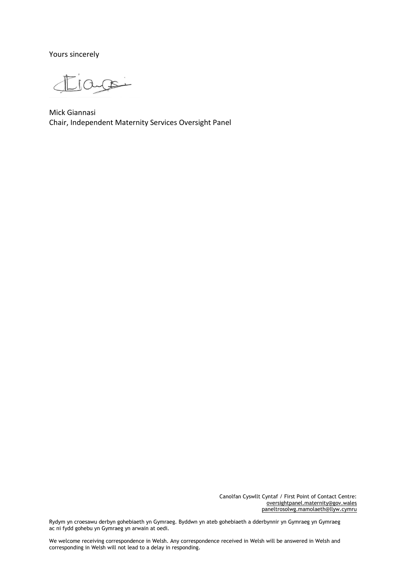Yours sincerely

jagoi

Mick Giannasi Chair, Independent Maternity Services Oversight Panel

Canolfan Cyswllt Cyntaf / First Point of Contact Centre: [oversightpanel.maternity@gov.wales](mailto:oversightpanel.maternity@gov.wales) [paneltrosolwg.mamolaeth@llyw.cymru](mailto:paneltrosolwg.mamolaeth@llyw.cymru)

Rydym yn croesawu derbyn gohebiaeth yn Gymraeg. Byddwn yn ateb gohebiaeth a dderbynnir yn Gymraeg yn Gymraeg ac ni fydd gohebu yn Gymraeg yn arwain at oedi.

We welcome receiving correspondence in Welsh. Any correspondence received in Welsh will be answered in Welsh and corresponding in Welsh will not lead to a delay in responding.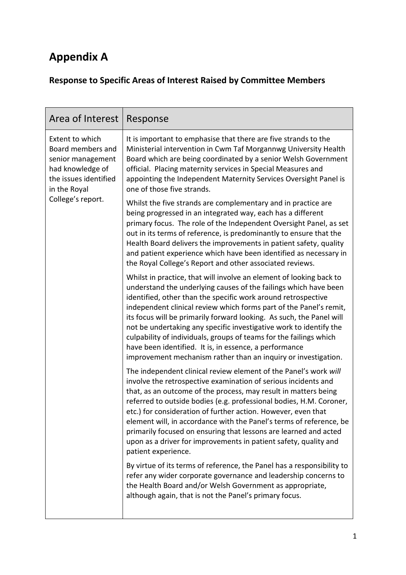## **Appendix A**

## **Response to Specific Areas of Interest Raised by Committee Members**

| Area of Interest                                                                                                                            | Response                                                                                                                                                                                                                                                                                                                                                                                                                                                                                                                                                                                                                       |
|---------------------------------------------------------------------------------------------------------------------------------------------|--------------------------------------------------------------------------------------------------------------------------------------------------------------------------------------------------------------------------------------------------------------------------------------------------------------------------------------------------------------------------------------------------------------------------------------------------------------------------------------------------------------------------------------------------------------------------------------------------------------------------------|
| Extent to which<br>Board members and<br>senior management<br>had knowledge of<br>the issues identified<br>in the Royal<br>College's report. | It is important to emphasise that there are five strands to the<br>Ministerial intervention in Cwm Taf Morgannwg University Health<br>Board which are being coordinated by a senior Welsh Government<br>official. Placing maternity services in Special Measures and<br>appointing the Independent Maternity Services Oversight Panel is<br>one of those five strands.                                                                                                                                                                                                                                                         |
|                                                                                                                                             | Whilst the five strands are complementary and in practice are<br>being progressed in an integrated way, each has a different<br>primary focus. The role of the Independent Oversight Panel, as set<br>out in its terms of reference, is predominantly to ensure that the<br>Health Board delivers the improvements in patient safety, quality<br>and patient experience which have been identified as necessary in<br>the Royal College's Report and other associated reviews.                                                                                                                                                 |
|                                                                                                                                             | Whilst in practice, that will involve an element of looking back to<br>understand the underlying causes of the failings which have been<br>identified, other than the specific work around retrospective<br>independent clinical review which forms part of the Panel's remit,<br>its focus will be primarily forward looking. As such, the Panel will<br>not be undertaking any specific investigative work to identify the<br>culpability of individuals, groups of teams for the failings which<br>have been identified. It is, in essence, a performance<br>improvement mechanism rather than an inquiry or investigation. |
|                                                                                                                                             | The independent clinical review element of the Panel's work will<br>involve the retrospective examination of serious incidents and<br>that, as an outcome of the process, may result in matters being<br>referred to outside bodies (e.g. professional bodies, H.M. Coroner,<br>etc.) for consideration of further action. However, even that<br>element will, in accordance with the Panel's terms of reference, be<br>primarily focused on ensuring that lessons are learned and acted<br>upon as a driver for improvements in patient safety, quality and<br>patient experience.                                            |
|                                                                                                                                             | By virtue of its terms of reference, the Panel has a responsibility to<br>refer any wider corporate governance and leadership concerns to<br>the Health Board and/or Welsh Government as appropriate,<br>although again, that is not the Panel's primary focus.                                                                                                                                                                                                                                                                                                                                                                |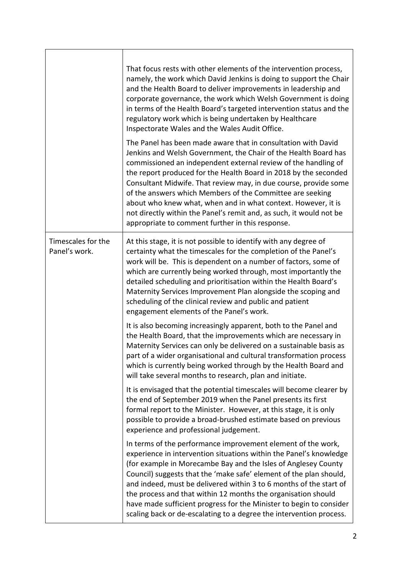|                                     | That focus rests with other elements of the intervention process,<br>namely, the work which David Jenkins is doing to support the Chair<br>and the Health Board to deliver improvements in leadership and<br>corporate governance, the work which Welsh Government is doing<br>in terms of the Health Board's targeted intervention status and the<br>regulatory work which is being undertaken by Healthcare<br>Inspectorate Wales and the Wales Audit Office.<br>The Panel has been made aware that in consultation with David<br>Jenkins and Welsh Government, the Chair of the Health Board has<br>commissioned an independent external review of the handling of<br>the report produced for the Health Board in 2018 by the seconded<br>Consultant Midwife. That review may, in due course, provide some<br>of the answers which Members of the Committee are seeking<br>about who knew what, when and in what context. However, it is<br>not directly within the Panel's remit and, as such, it would not be<br>appropriate to comment further in this response. |
|-------------------------------------|------------------------------------------------------------------------------------------------------------------------------------------------------------------------------------------------------------------------------------------------------------------------------------------------------------------------------------------------------------------------------------------------------------------------------------------------------------------------------------------------------------------------------------------------------------------------------------------------------------------------------------------------------------------------------------------------------------------------------------------------------------------------------------------------------------------------------------------------------------------------------------------------------------------------------------------------------------------------------------------------------------------------------------------------------------------------|
| Timescales for the<br>Panel's work. | At this stage, it is not possible to identify with any degree of<br>certainty what the timescales for the completion of the Panel's<br>work will be. This is dependent on a number of factors, some of<br>which are currently being worked through, most importantly the<br>detailed scheduling and prioritisation within the Health Board's<br>Maternity Services Improvement Plan alongside the scoping and<br>scheduling of the clinical review and public and patient<br>engagement elements of the Panel's work.                                                                                                                                                                                                                                                                                                                                                                                                                                                                                                                                                  |
|                                     | It is also becoming increasingly apparent, both to the Panel and<br>the Health Board, that the improvements which are necessary in<br>Maternity Services can only be delivered on a sustainable basis as<br>part of a wider organisational and cultural transformation process<br>which is currently being worked through by the Health Board and<br>will take several months to research, plan and initiate.                                                                                                                                                                                                                                                                                                                                                                                                                                                                                                                                                                                                                                                          |
|                                     | It is envisaged that the potential timescales will become clearer by<br>the end of September 2019 when the Panel presents its first<br>formal report to the Minister. However, at this stage, it is only<br>possible to provide a broad-brushed estimate based on previous<br>experience and professional judgement.                                                                                                                                                                                                                                                                                                                                                                                                                                                                                                                                                                                                                                                                                                                                                   |
|                                     | In terms of the performance improvement element of the work,<br>experience in intervention situations within the Panel's knowledge<br>(for example in Morecambe Bay and the Isles of Anglesey County<br>Council) suggests that the 'make safe' element of the plan should,<br>and indeed, must be delivered within 3 to 6 months of the start of<br>the process and that within 12 months the organisation should<br>have made sufficient progress for the Minister to begin to consider<br>scaling back or de-escalating to a degree the intervention process.                                                                                                                                                                                                                                                                                                                                                                                                                                                                                                        |

٦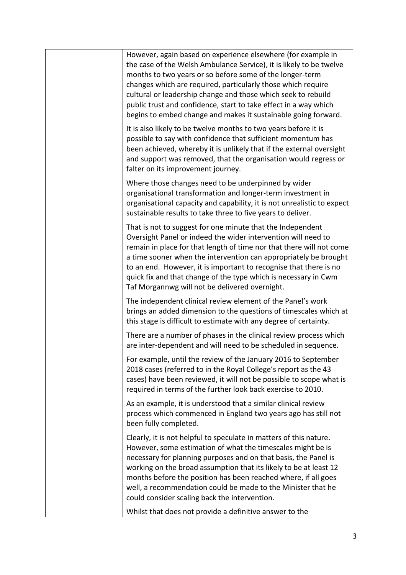| However, again based on experience elsewhere (for example in<br>the case of the Welsh Ambulance Service), it is likely to be twelve<br>months to two years or so before some of the longer-term<br>changes which are required, particularly those which require<br>cultural or leadership change and those which seek to rebuild<br>public trust and confidence, start to take effect in a way which<br>begins to embed change and makes it sustainable going forward. |
|------------------------------------------------------------------------------------------------------------------------------------------------------------------------------------------------------------------------------------------------------------------------------------------------------------------------------------------------------------------------------------------------------------------------------------------------------------------------|
| It is also likely to be twelve months to two years before it is<br>possible to say with confidence that sufficient momentum has<br>been achieved, whereby it is unlikely that if the external oversight<br>and support was removed, that the organisation would regress or<br>falter on its improvement journey.                                                                                                                                                       |
| Where those changes need to be underpinned by wider<br>organisational transformation and longer-term investment in<br>organisational capacity and capability, it is not unrealistic to expect<br>sustainable results to take three to five years to deliver.                                                                                                                                                                                                           |
| That is not to suggest for one minute that the Independent<br>Oversight Panel or indeed the wider intervention will need to<br>remain in place for that length of time nor that there will not come<br>a time sooner when the intervention can appropriately be brought<br>to an end. However, it is important to recognise that there is no<br>quick fix and that change of the type which is necessary in Cwm<br>Taf Morgannwg will not be delivered overnight.      |
| The independent clinical review element of the Panel's work<br>brings an added dimension to the questions of timescales which at<br>this stage is difficult to estimate with any degree of certainty.                                                                                                                                                                                                                                                                  |
| There are a number of phases in the clinical review process which<br>are inter-dependent and will need to be scheduled in sequence.                                                                                                                                                                                                                                                                                                                                    |
| For example, until the review of the January 2016 to September<br>2018 cases (referred to in the Royal College's report as the 43<br>cases) have been reviewed, it will not be possible to scope what is<br>required in terms of the further look back exercise to 2010.                                                                                                                                                                                               |
| As an example, it is understood that a similar clinical review<br>process which commenced in England two years ago has still not<br>been fully completed.                                                                                                                                                                                                                                                                                                              |
| Clearly, it is not helpful to speculate in matters of this nature.<br>However, some estimation of what the timescales might be is<br>necessary for planning purposes and on that basis, the Panel is<br>working on the broad assumption that its likely to be at least 12<br>months before the position has been reached where, if all goes<br>well, a recommendation could be made to the Minister that he<br>could consider scaling back the intervention.           |
| Whilst that does not provide a definitive answer to the                                                                                                                                                                                                                                                                                                                                                                                                                |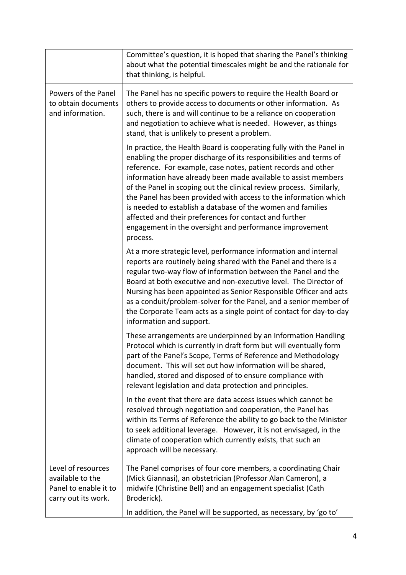|                                                                                        | Committee's question, it is hoped that sharing the Panel's thinking<br>about what the potential timescales might be and the rationale for<br>that thinking, is helpful.                                                                                                                                                                                                                                                                                                                                                                                                                                                  |
|----------------------------------------------------------------------------------------|--------------------------------------------------------------------------------------------------------------------------------------------------------------------------------------------------------------------------------------------------------------------------------------------------------------------------------------------------------------------------------------------------------------------------------------------------------------------------------------------------------------------------------------------------------------------------------------------------------------------------|
| Powers of the Panel<br>to obtain documents<br>and information.                         | The Panel has no specific powers to require the Health Board or<br>others to provide access to documents or other information. As<br>such, there is and will continue to be a reliance on cooperation<br>and negotiation to achieve what is needed. However, as things<br>stand, that is unlikely to present a problem.                                                                                                                                                                                                                                                                                                  |
|                                                                                        | In practice, the Health Board is cooperating fully with the Panel in<br>enabling the proper discharge of its responsibilities and terms of<br>reference. For example, case notes, patient records and other<br>information have already been made available to assist members<br>of the Panel in scoping out the clinical review process. Similarly,<br>the Panel has been provided with access to the information which<br>is needed to establish a database of the women and families<br>affected and their preferences for contact and further<br>engagement in the oversight and performance improvement<br>process. |
|                                                                                        | At a more strategic level, performance information and internal<br>reports are routinely being shared with the Panel and there is a<br>regular two-way flow of information between the Panel and the<br>Board at both executive and non-executive level. The Director of<br>Nursing has been appointed as Senior Responsible Officer and acts<br>as a conduit/problem-solver for the Panel, and a senior member of<br>the Corporate Team acts as a single point of contact for day-to-day<br>information and support.                                                                                                    |
|                                                                                        | These arrangements are underpinned by an Information Handling<br>Protocol which is currently in draft form but will eventually form<br>part of the Panel's Scope, Terms of Reference and Methodology<br>document. This will set out how information will be shared,<br>handled, stored and disposed of to ensure compliance with<br>relevant legislation and data protection and principles.                                                                                                                                                                                                                             |
|                                                                                        | In the event that there are data access issues which cannot be<br>resolved through negotiation and cooperation, the Panel has<br>within its Terms of Reference the ability to go back to the Minister<br>to seek additional leverage. However, it is not envisaged, in the<br>climate of cooperation which currently exists, that such an<br>approach will be necessary.                                                                                                                                                                                                                                                 |
| Level of resources<br>available to the<br>Panel to enable it to<br>carry out its work. | The Panel comprises of four core members, a coordinating Chair<br>(Mick Giannasi), an obstetrician (Professor Alan Cameron), a<br>midwife (Christine Bell) and an engagement specialist (Cath<br>Broderick).                                                                                                                                                                                                                                                                                                                                                                                                             |
|                                                                                        | In addition, the Panel will be supported, as necessary, by 'go to'                                                                                                                                                                                                                                                                                                                                                                                                                                                                                                                                                       |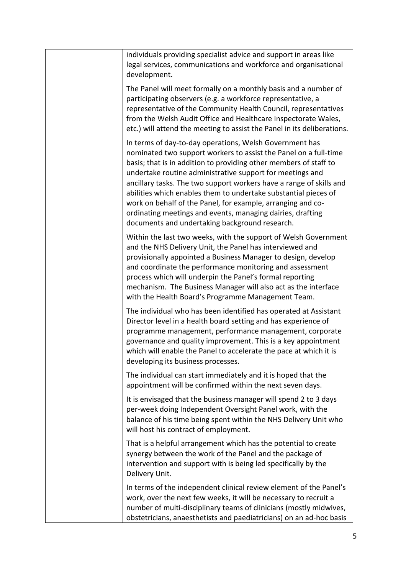| individuals providing specialist advice and support in areas like<br>legal services, communications and workforce and organisational<br>development.                                                                                                                                                                                                                                                                                                                                                                                                                                   |
|----------------------------------------------------------------------------------------------------------------------------------------------------------------------------------------------------------------------------------------------------------------------------------------------------------------------------------------------------------------------------------------------------------------------------------------------------------------------------------------------------------------------------------------------------------------------------------------|
| The Panel will meet formally on a monthly basis and a number of<br>participating observers (e.g. a workforce representative, a<br>representative of the Community Health Council, representatives<br>from the Welsh Audit Office and Healthcare Inspectorate Wales,<br>etc.) will attend the meeting to assist the Panel in its deliberations.                                                                                                                                                                                                                                         |
| In terms of day-to-day operations, Welsh Government has<br>nominated two support workers to assist the Panel on a full-time<br>basis; that is in addition to providing other members of staff to<br>undertake routine administrative support for meetings and<br>ancillary tasks. The two support workers have a range of skills and<br>abilities which enables them to undertake substantial pieces of<br>work on behalf of the Panel, for example, arranging and co-<br>ordinating meetings and events, managing dairies, drafting<br>documents and undertaking background research. |
| Within the last two weeks, with the support of Welsh Government<br>and the NHS Delivery Unit, the Panel has interviewed and<br>provisionally appointed a Business Manager to design, develop<br>and coordinate the performance monitoring and assessment<br>process which will underpin the Panel's formal reporting<br>mechanism. The Business Manager will also act as the interface<br>with the Health Board's Programme Management Team.                                                                                                                                           |
| The individual who has been identified has operated at Assistant<br>Director level in a health board setting and has experience of<br>programme management, performance management, corporate<br>governance and quality improvement. This is a key appointment<br>which will enable the Panel to accelerate the pace at which it is<br>developing its business processes.                                                                                                                                                                                                              |
| The individual can start immediately and it is hoped that the<br>appointment will be confirmed within the next seven days.                                                                                                                                                                                                                                                                                                                                                                                                                                                             |
| It is envisaged that the business manager will spend 2 to 3 days<br>per-week doing Independent Oversight Panel work, with the<br>balance of his time being spent within the NHS Delivery Unit who<br>will host his contract of employment.                                                                                                                                                                                                                                                                                                                                             |
| That is a helpful arrangement which has the potential to create<br>synergy between the work of the Panel and the package of<br>intervention and support with is being led specifically by the<br>Delivery Unit.                                                                                                                                                                                                                                                                                                                                                                        |
| In terms of the independent clinical review element of the Panel's<br>work, over the next few weeks, it will be necessary to recruit a<br>number of multi-disciplinary teams of clinicians (mostly midwives,<br>obstetricians, anaesthetists and paediatricians) on an ad-hoc basis                                                                                                                                                                                                                                                                                                    |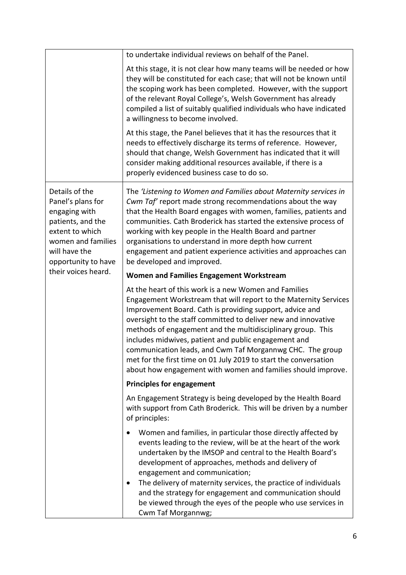|                                                                                                                                                            | to undertake individual reviews on behalf of the Panel.                                                                                                                                                                                                                                                                                                                                                                                                                                                                                                                         |
|------------------------------------------------------------------------------------------------------------------------------------------------------------|---------------------------------------------------------------------------------------------------------------------------------------------------------------------------------------------------------------------------------------------------------------------------------------------------------------------------------------------------------------------------------------------------------------------------------------------------------------------------------------------------------------------------------------------------------------------------------|
|                                                                                                                                                            | At this stage, it is not clear how many teams will be needed or how<br>they will be constituted for each case; that will not be known until<br>the scoping work has been completed. However, with the support<br>of the relevant Royal College's, Welsh Government has already<br>compiled a list of suitably qualified individuals who have indicated<br>a willingness to become involved.                                                                                                                                                                                     |
|                                                                                                                                                            | At this stage, the Panel believes that it has the resources that it<br>needs to effectively discharge its terms of reference. However,<br>should that change, Welsh Government has indicated that it will<br>consider making additional resources available, if there is a<br>properly evidenced business case to do so.                                                                                                                                                                                                                                                        |
| Details of the<br>Panel's plans for<br>engaging with<br>patients, and the<br>extent to which<br>women and families<br>will have the<br>opportunity to have | The 'Listening to Women and Families about Maternity services in<br>Cwm Taf' report made strong recommendations about the way<br>that the Health Board engages with women, families, patients and<br>communities. Cath Broderick has started the extensive process of<br>working with key people in the Health Board and partner<br>organisations to understand in more depth how current<br>engagement and patient experience activities and approaches can<br>be developed and improved.                                                                                      |
| their voices heard.                                                                                                                                        | <b>Women and Families Engagement Workstream</b>                                                                                                                                                                                                                                                                                                                                                                                                                                                                                                                                 |
|                                                                                                                                                            | At the heart of this work is a new Women and Families<br>Engagement Workstream that will report to the Maternity Services<br>Improvement Board. Cath is providing support, advice and<br>oversight to the staff committed to deliver new and innovative<br>methods of engagement and the multidisciplinary group. This<br>includes midwives, patient and public engagement and<br>communication leads, and Cwm Taf Morgannwg CHC. The group<br>met for the first time on 01 July 2019 to start the conversation<br>about how engagement with women and families should improve. |
|                                                                                                                                                            | <b>Principles for engagement</b>                                                                                                                                                                                                                                                                                                                                                                                                                                                                                                                                                |
|                                                                                                                                                            | An Engagement Strategy is being developed by the Health Board<br>with support from Cath Broderick. This will be driven by a number<br>of principles:                                                                                                                                                                                                                                                                                                                                                                                                                            |
|                                                                                                                                                            | Women and families, in particular those directly affected by<br>events leading to the review, will be at the heart of the work<br>undertaken by the IMSOP and central to the Health Board's<br>development of approaches, methods and delivery of<br>engagement and communication;<br>The delivery of maternity services, the practice of individuals<br>and the strategy for engagement and communication should<br>be viewed through the eyes of the people who use services in<br>Cwm Taf Morgannwg;                                                                         |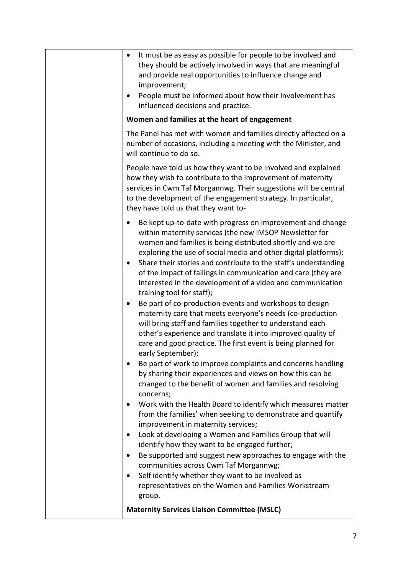| It must be as easy as possible for people to be involved and<br>$\bullet$<br>they should be actively involved in ways that are meaningful<br>and provide real opportunities to influence change and<br>improvement;<br>People must be informed about how their involvement has<br>٠<br>influenced decisions and practice.                                                                                                                                                                                                                                                                                                                                                                                                                                                                                                                                                                                                                                                                                                                                                                                                                                                                                                                                                                                                                                                                                                                                                                                                                                                       |
|---------------------------------------------------------------------------------------------------------------------------------------------------------------------------------------------------------------------------------------------------------------------------------------------------------------------------------------------------------------------------------------------------------------------------------------------------------------------------------------------------------------------------------------------------------------------------------------------------------------------------------------------------------------------------------------------------------------------------------------------------------------------------------------------------------------------------------------------------------------------------------------------------------------------------------------------------------------------------------------------------------------------------------------------------------------------------------------------------------------------------------------------------------------------------------------------------------------------------------------------------------------------------------------------------------------------------------------------------------------------------------------------------------------------------------------------------------------------------------------------------------------------------------------------------------------------------------|
| Women and families at the heart of engagement                                                                                                                                                                                                                                                                                                                                                                                                                                                                                                                                                                                                                                                                                                                                                                                                                                                                                                                                                                                                                                                                                                                                                                                                                                                                                                                                                                                                                                                                                                                                   |
| The Panel has met with women and families directly affected on a<br>number of occasions, including a meeting with the Minister, and<br>will continue to do so.                                                                                                                                                                                                                                                                                                                                                                                                                                                                                                                                                                                                                                                                                                                                                                                                                                                                                                                                                                                                                                                                                                                                                                                                                                                                                                                                                                                                                  |
| People have told us how they want to be involved and explained<br>how they wish to contribute to the improvement of maternity<br>services in Cwm Taf Morgannwg. Their suggestions will be central<br>to the development of the engagement strategy. In particular,<br>they have told us that they want to-                                                                                                                                                                                                                                                                                                                                                                                                                                                                                                                                                                                                                                                                                                                                                                                                                                                                                                                                                                                                                                                                                                                                                                                                                                                                      |
| Be kept up-to-date with progress on improvement and change<br>$\bullet$<br>within maternity services (the new IMSOP Newsletter for<br>women and families is being distributed shortly and we are<br>exploring the use of social media and other digital platforms);<br>Share their stories and contribute to the staff's understanding<br>$\bullet$<br>of the impact of failings in communication and care (they are<br>interested in the development of a video and communication<br>training tool for staff);<br>Be part of co-production events and workshops to design<br>maternity care that meets everyone's needs (co-production<br>will bring staff and families together to understand each<br>other's experience and translate it into improved quality of<br>care and good practice. The first event is being planned for<br>early September);<br>Be part of work to improve complaints and concerns handling<br>by sharing their experiences and views on how this can be<br>changed to the benefit of women and families and resolving<br>concerns;<br>Work with the Health Board to identify which measures matter<br>from the families' when seeking to demonstrate and quantify<br>improvement in maternity services;<br>Look at developing a Women and Families Group that will<br>identify how they want to be engaged further;<br>Be supported and suggest new approaches to engage with the<br>communities across Cwm Taf Morgannwg;<br>Self identify whether they want to be involved as<br>representatives on the Women and Families Workstream<br>group. |
| <b>Maternity Services Liaison Committee (MSLC)</b>                                                                                                                                                                                                                                                                                                                                                                                                                                                                                                                                                                                                                                                                                                                                                                                                                                                                                                                                                                                                                                                                                                                                                                                                                                                                                                                                                                                                                                                                                                                              |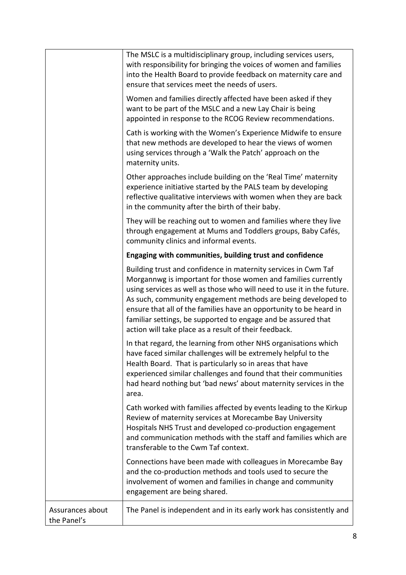|                                 | The MSLC is a multidisciplinary group, including services users,<br>with responsibility for bringing the voices of women and families<br>into the Health Board to provide feedback on maternity care and<br>ensure that services meet the needs of users.                                                                                                                                                                                                                 |
|---------------------------------|---------------------------------------------------------------------------------------------------------------------------------------------------------------------------------------------------------------------------------------------------------------------------------------------------------------------------------------------------------------------------------------------------------------------------------------------------------------------------|
|                                 | Women and families directly affected have been asked if they<br>want to be part of the MSLC and a new Lay Chair is being<br>appointed in response to the RCOG Review recommendations.                                                                                                                                                                                                                                                                                     |
|                                 | Cath is working with the Women's Experience Midwife to ensure<br>that new methods are developed to hear the views of women<br>using services through a 'Walk the Patch' approach on the<br>maternity units.                                                                                                                                                                                                                                                               |
|                                 | Other approaches include building on the 'Real Time' maternity<br>experience initiative started by the PALS team by developing<br>reflective qualitative interviews with women when they are back<br>in the community after the birth of their baby.                                                                                                                                                                                                                      |
|                                 | They will be reaching out to women and families where they live<br>through engagement at Mums and Toddlers groups, Baby Cafés,<br>community clinics and informal events.                                                                                                                                                                                                                                                                                                  |
|                                 | Engaging with communities, building trust and confidence                                                                                                                                                                                                                                                                                                                                                                                                                  |
|                                 | Building trust and confidence in maternity services in Cwm Taf<br>Morgannwg is important for those women and families currently<br>using services as well as those who will need to use it in the future.<br>As such, community engagement methods are being developed to<br>ensure that all of the families have an opportunity to be heard in<br>familiar settings, be supported to engage and be assured that<br>action will take place as a result of their feedback. |
|                                 | In that regard, the learning from other NHS organisations which<br>have faced similar challenges will be extremely helpful to the<br>Health Board. That is particularly so in areas that have<br>experienced similar challenges and found that their communities<br>had heard nothing but 'bad news' about maternity services in the<br>area.                                                                                                                             |
|                                 | Cath worked with families affected by events leading to the Kirkup<br>Review of maternity services at Morecambe Bay University<br>Hospitals NHS Trust and developed co-production engagement<br>and communication methods with the staff and families which are<br>transferable to the Cwm Taf context.                                                                                                                                                                   |
|                                 | Connections have been made with colleagues in Morecambe Bay<br>and the co-production methods and tools used to secure the<br>involvement of women and families in change and community<br>engagement are being shared.                                                                                                                                                                                                                                                    |
| Assurances about<br>the Panel's | The Panel is independent and in its early work has consistently and                                                                                                                                                                                                                                                                                                                                                                                                       |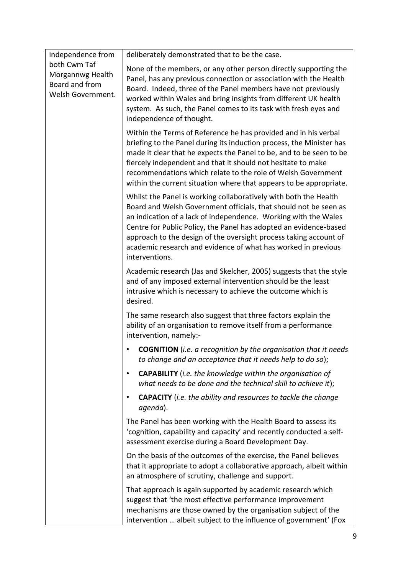| independence from                                                       | deliberately demonstrated that to be the case.                                                                                                                                                                                                                                                                                                                                                                                       |
|-------------------------------------------------------------------------|--------------------------------------------------------------------------------------------------------------------------------------------------------------------------------------------------------------------------------------------------------------------------------------------------------------------------------------------------------------------------------------------------------------------------------------|
| both Cwm Taf<br>Morgannwg Health<br>Board and from<br>Welsh Government. | None of the members, or any other person directly supporting the<br>Panel, has any previous connection or association with the Health<br>Board. Indeed, three of the Panel members have not previously<br>worked within Wales and bring insights from different UK health<br>system. As such, the Panel comes to its task with fresh eyes and<br>independence of thought.                                                            |
|                                                                         | Within the Terms of Reference he has provided and in his verbal<br>briefing to the Panel during its induction process, the Minister has<br>made it clear that he expects the Panel to be, and to be seen to be<br>fiercely independent and that it should not hesitate to make<br>recommendations which relate to the role of Welsh Government<br>within the current situation where that appears to be appropriate.                 |
|                                                                         | Whilst the Panel is working collaboratively with both the Health<br>Board and Welsh Government officials, that should not be seen as<br>an indication of a lack of independence. Working with the Wales<br>Centre for Public Policy, the Panel has adopted an evidence-based<br>approach to the design of the oversight process taking account of<br>academic research and evidence of what has worked in previous<br>interventions. |
|                                                                         | Academic research (Jas and Skelcher, 2005) suggests that the style<br>and of any imposed external intervention should be the least<br>intrusive which is necessary to achieve the outcome which is<br>desired.                                                                                                                                                                                                                       |
|                                                                         | The same research also suggest that three factors explain the<br>ability of an organisation to remove itself from a performance<br>intervention, namely:-                                                                                                                                                                                                                                                                            |
|                                                                         | <b>COGNITION</b> (i.e. a recognition by the organisation that it needs<br>to change and an acceptance that it needs help to do so);                                                                                                                                                                                                                                                                                                  |
|                                                                         | <b>CAPABILITY</b> (i.e. the knowledge within the organisation of<br>$\bullet$<br>what needs to be done and the technical skill to achieve it);                                                                                                                                                                                                                                                                                       |
|                                                                         | <b>CAPACITY</b> (i.e. the ability and resources to tackle the change<br>agenda).                                                                                                                                                                                                                                                                                                                                                     |
|                                                                         | The Panel has been working with the Health Board to assess its<br>'cognition, capability and capacity' and recently conducted a self-<br>assessment exercise during a Board Development Day.                                                                                                                                                                                                                                         |
|                                                                         | On the basis of the outcomes of the exercise, the Panel believes<br>that it appropriate to adopt a collaborative approach, albeit within<br>an atmosphere of scrutiny, challenge and support.                                                                                                                                                                                                                                        |
|                                                                         | That approach is again supported by academic research which<br>suggest that 'the most effective performance improvement<br>mechanisms are those owned by the organisation subject of the<br>intervention  albeit subject to the influence of government' (Fox                                                                                                                                                                        |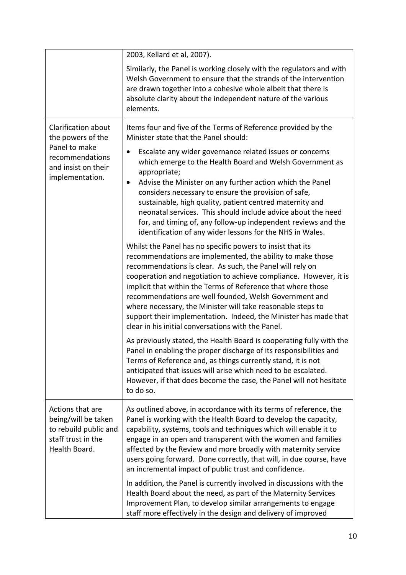|                                                                                                         | 2003, Kellard et al, 2007).                                                                                                                                                                                                                                                                                                                                                                                                                                                                                                                                                                                                                                                                                                                            |
|---------------------------------------------------------------------------------------------------------|--------------------------------------------------------------------------------------------------------------------------------------------------------------------------------------------------------------------------------------------------------------------------------------------------------------------------------------------------------------------------------------------------------------------------------------------------------------------------------------------------------------------------------------------------------------------------------------------------------------------------------------------------------------------------------------------------------------------------------------------------------|
|                                                                                                         | Similarly, the Panel is working closely with the regulators and with<br>Welsh Government to ensure that the strands of the intervention<br>are drawn together into a cohesive whole albeit that there is<br>absolute clarity about the independent nature of the various<br>elements.                                                                                                                                                                                                                                                                                                                                                                                                                                                                  |
| Clarification about<br>the powers of the                                                                | Items four and five of the Terms of Reference provided by the<br>Minister state that the Panel should:                                                                                                                                                                                                                                                                                                                                                                                                                                                                                                                                                                                                                                                 |
| Panel to make<br>recommendations<br>and insist on their<br>implementation.                              | Escalate any wider governance related issues or concerns<br>$\bullet$<br>which emerge to the Health Board and Welsh Government as<br>appropriate;<br>Advise the Minister on any further action which the Panel<br>considers necessary to ensure the provision of safe,<br>sustainable, high quality, patient centred maternity and<br>neonatal services. This should include advice about the need<br>for, and timing of, any follow-up independent reviews and the<br>identification of any wider lessons for the NHS in Wales.                                                                                                                                                                                                                       |
|                                                                                                         | Whilst the Panel has no specific powers to insist that its<br>recommendations are implemented, the ability to make those<br>recommendations is clear. As such, the Panel will rely on<br>cooperation and negotiation to achieve compliance. However, it is<br>implicit that within the Terms of Reference that where those<br>recommendations are well founded, Welsh Government and<br>where necessary, the Minister will take reasonable steps to<br>support their implementation. Indeed, the Minister has made that<br>clear in his initial conversations with the Panel.                                                                                                                                                                          |
|                                                                                                         | As previously stated, the Health Board is cooperating fully with the<br>Panel in enabling the proper discharge of its responsibilities and<br>Terms of Reference and, as things currently stand, it is not<br>anticipated that issues will arise which need to be escalated.<br>However, if that does become the case, the Panel will not hesitate<br>to do so.                                                                                                                                                                                                                                                                                                                                                                                        |
| Actions that are<br>being/will be taken<br>to rebuild public and<br>staff trust in the<br>Health Board. | As outlined above, in accordance with its terms of reference, the<br>Panel is working with the Health Board to develop the capacity,<br>capability, systems, tools and techniques which will enable it to<br>engage in an open and transparent with the women and families<br>affected by the Review and more broadly with maternity service<br>users going forward. Done correctly, that will, in due course, have<br>an incremental impact of public trust and confidence.<br>In addition, the Panel is currently involved in discussions with the<br>Health Board about the need, as part of the Maternity Services<br>Improvement Plan, to develop similar arrangements to engage<br>staff more effectively in the design and delivery of improved |